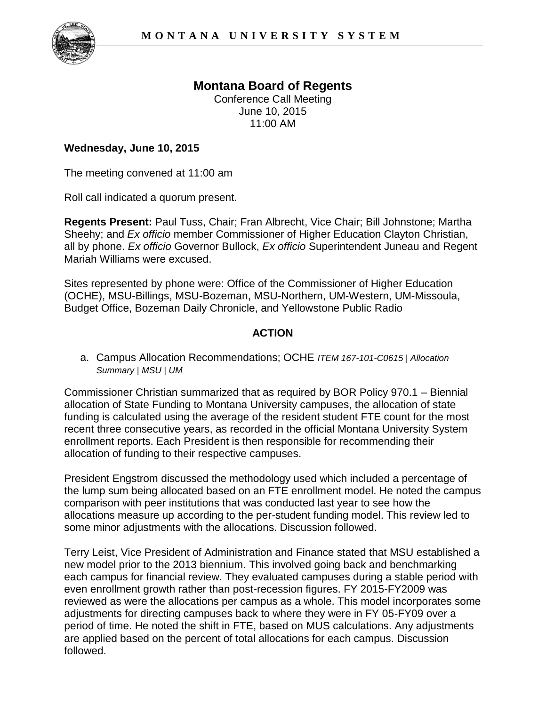

## **Montana Board of Regents**  Conference Call Meeting June 10, 2015 11:00 AM

## **Wednesday, June 10, 2015**

The meeting convened at 11:00 am

Roll call indicated a quorum present.

**Regents Present:** Paul Tuss, Chair; Fran Albrecht, Vice Chair; Bill Johnstone; Martha Sheehy; and *Ex officio* member Commissioner of Higher Education Clayton Christian, all by phone. *Ex officio* Governor Bullock, *Ex officio* Superintendent Juneau and Regent Mariah Williams were excused.

Sites represented by phone were: Office of the Commissioner of Higher Education (OCHE), MSU-Billings, MSU-Bozeman, MSU-Northern, UM-Western, UM-Missoula, Budget Office, Bozeman Daily Chronicle, and Yellowstone Public Radio

## **ACTION**

a. Campus Allocation Recommendations; OCHE *ITEM 167-101-C0615 | Allocation Summary | MSU | UM*

Commissioner Christian summarized that as required by BOR Policy 970.1 – Biennial allocation of State Funding to Montana University campuses, the allocation of state funding is calculated using the average of the resident student FTE count for the most recent three consecutive years, as recorded in the official Montana University System enrollment reports. Each President is then responsible for recommending their allocation of funding to their respective campuses.

President Engstrom discussed the methodology used which included a percentage of the lump sum being allocated based on an FTE enrollment model. He noted the campus comparison with peer institutions that was conducted last year to see how the allocations measure up according to the per-student funding model. This review led to some minor adjustments with the allocations. Discussion followed.

Terry Leist, Vice President of Administration and Finance stated that MSU established a new model prior to the 2013 biennium. This involved going back and benchmarking each campus for financial review. They evaluated campuses during a stable period with even enrollment growth rather than post-recession figures. FY 2015-FY2009 was reviewed as were the allocations per campus as a whole. This model incorporates some adjustments for directing campuses back to where they were in FY 05-FY09 over a period of time. He noted the shift in FTE, based on MUS calculations. Any adjustments are applied based on the percent of total allocations for each campus. Discussion followed.